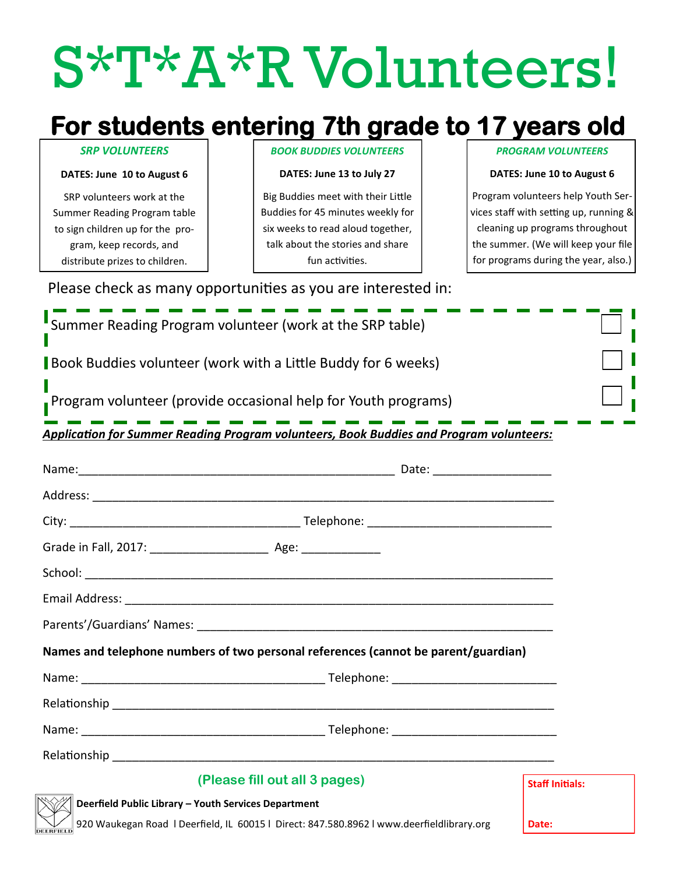# S\*T\*A\*R Volunteers!

# **For students entering 7th grade to 17 years old**

#### *SRP VOLUNTEERS*

#### **DATES: June 10 to August 6**

SRP volunteers work at the Summer Reading Program table to sign children up for the program, keep records, and distribute prizes to children.

*BOOK BUDDIES VOLUNTEERS*

**DATES: June 13 to July 27**

Big Buddies meet with their Little Buddies for 45 minutes weekly for six weeks to read aloud together, talk about the stories and share fun activities.

#### *PROGRAM VOLUNTEERS*

#### **DATES: June 10 to August 6**

Program volunteers help Youth Services staff with setting up, running & cleaning up programs throughout the summer. (We will keep your file for programs during the year, also.)

| Summer Reading Program volunteer (work at the SRP table)                                                                                                  |  |                        |  |  |
|-----------------------------------------------------------------------------------------------------------------------------------------------------------|--|------------------------|--|--|
| Book Buddies volunteer (work with a Little Buddy for 6 weeks)                                                                                             |  |                        |  |  |
| Program volunteer (provide occasional help for Youth programs)<br>Application for Summer Reading Program volunteers, Book Buddies and Program volunteers: |  |                        |  |  |
|                                                                                                                                                           |  |                        |  |  |
|                                                                                                                                                           |  |                        |  |  |
|                                                                                                                                                           |  |                        |  |  |
|                                                                                                                                                           |  |                        |  |  |
|                                                                                                                                                           |  |                        |  |  |
|                                                                                                                                                           |  |                        |  |  |
|                                                                                                                                                           |  |                        |  |  |
| Names and telephone numbers of two personal references (cannot be parent/guardian)                                                                        |  |                        |  |  |
|                                                                                                                                                           |  |                        |  |  |
|                                                                                                                                                           |  |                        |  |  |
|                                                                                                                                                           |  |                        |  |  |
|                                                                                                                                                           |  |                        |  |  |
| (Please fill out all 3 pages)                                                                                                                             |  | <b>Staff Initials:</b> |  |  |
| Deerfield Public Library - Youth Services Department<br>920 Waukegan Road   Deerfield, IL 60015   Direct: 847.580.8962   www.deerfieldlibrary.org         |  | Date:                  |  |  |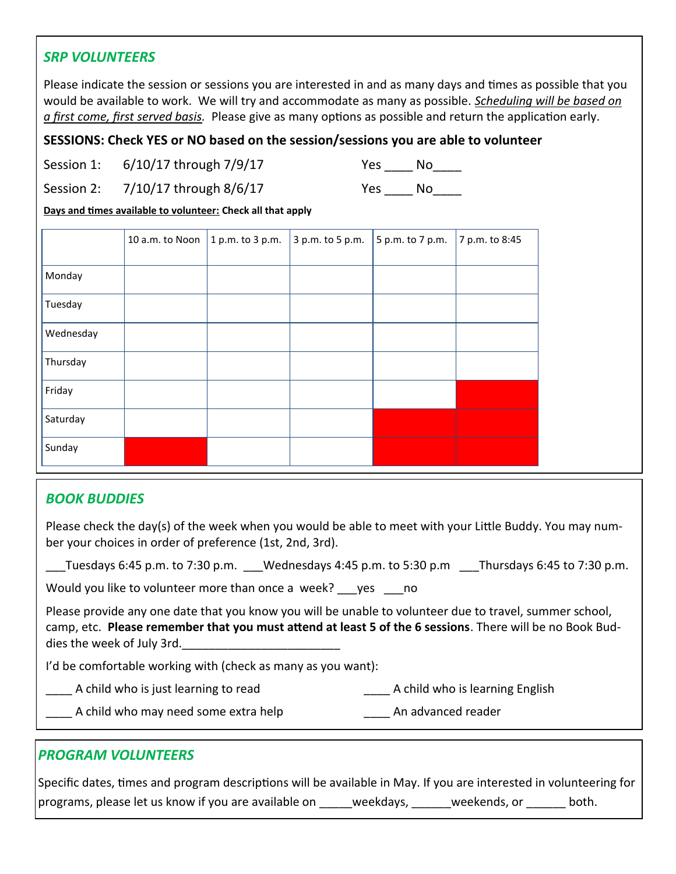### *SRP VOLUNTEERS*

Please indicate the session or sessions you are interested in and as many days and times as possible that you would be available to work. We will try and accommodate as many as possible. *Scheduling will be based on a first come, first served basis.* Please give as many options as possible and return the application early.

#### **SESSIONS: Check YES or NO based on the session/sessions you are able to volunteer**

Session 1: 6/10/17 through 7/9/17 Yes \_\_\_\_ No\_\_\_\_

Session 2:  $7/10/17$  through  $8/6/17$  Yes No

**Days and times available to volunteer: Check all that apply**

|           | 10 a.m. to Noon | 1 p.m. to 3 p.m. | 3 p.m. to 5 p.m. | 5 p.m. to 7 p.m. | 7 p.m. to 8:45 |
|-----------|-----------------|------------------|------------------|------------------|----------------|
| Monday    |                 |                  |                  |                  |                |
| Tuesday   |                 |                  |                  |                  |                |
| Wednesday |                 |                  |                  |                  |                |
| Thursday  |                 |                  |                  |                  |                |
| Friday    |                 |                  |                  |                  |                |
| Saturday  |                 |                  |                  |                  |                |
| Sunday    |                 |                  |                  |                  |                |

# *BOOK BUDDIES*

Please check the day(s) of the week when you would be able to meet with your Little Buddy. You may number your choices in order of preference (1st, 2nd, 3rd).

Tuesdays 6:45 p.m. to 7:30 p.m. Wednesdays 4:45 p.m. to 5:30 p.m Thursdays 6:45 to 7:30 p.m.

Would you like to volunteer more than once a week? yes no

Please provide any one date that you know you will be unable to volunteer due to travel, summer school, camp, etc. **Please remember that you must attend at least 5 of the 6 sessions**. There will be no Book Buddies the week of July 3rd.

I'd be comfortable working with (check as many as you want):

- Lackson A child who is just learning to read and all contact the setting English contact A child who is learning English
	- A child who may need some extra help **An advanced reader** An advanced reader

# *PROGRAM VOLUNTEERS*

Specific dates, times and program descriptions will be available in May. If you are interested in volunteering for programs, please let us know if you are available on weekdays, weekends, or both.